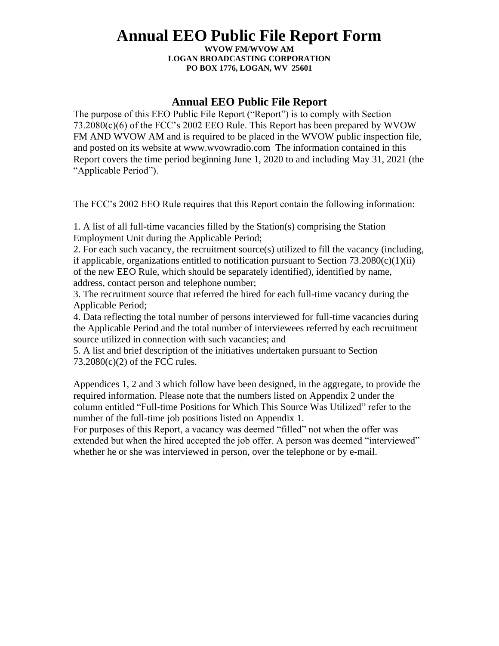# **Annual EEO Public File Report Form**

**WVOW FM/WVOW AM LOGAN BROADCASTING CORPORATION PO BOX 1776, LOGAN, WV 25601**

## **Annual EEO Public File Report**

The purpose of this EEO Public File Report ("Report") is to comply with Section 73.2080(c)(6) of the FCC's 2002 EEO Rule. This Report has been prepared by WVOW FM AND WVOW AM and is required to be placed in the WVOW public inspection file, and posted on its website at www.wvowradio.com The information contained in this Report covers the time period beginning June 1, 2020 to and including May 31, 2021 (the "Applicable Period").

The FCC's 2002 EEO Rule requires that this Report contain the following information:

1. A list of all full-time vacancies filled by the Station(s) comprising the Station Employment Unit during the Applicable Period;

2. For each such vacancy, the recruitment source(s) utilized to fill the vacancy (including, if applicable, organizations entitled to notification pursuant to Section  $73.2080(c)(1)(ii)$ of the new EEO Rule, which should be separately identified), identified by name, address, contact person and telephone number;

3. The recruitment source that referred the hired for each full-time vacancy during the Applicable Period;

4. Data reflecting the total number of persons interviewed for full-time vacancies during the Applicable Period and the total number of interviewees referred by each recruitment source utilized in connection with such vacancies; and

5. A list and brief description of the initiatives undertaken pursuant to Section 73.2080(c)(2) of the FCC rules.

Appendices 1, 2 and 3 which follow have been designed, in the aggregate, to provide the required information. Please note that the numbers listed on Appendix 2 under the column entitled "Full-time Positions for Which This Source Was Utilized" refer to the number of the full-time job positions listed on Appendix 1.

For purposes of this Report, a vacancy was deemed "filled" not when the offer was extended but when the hired accepted the job offer. A person was deemed "interviewed" whether he or she was interviewed in person, over the telephone or by e-mail.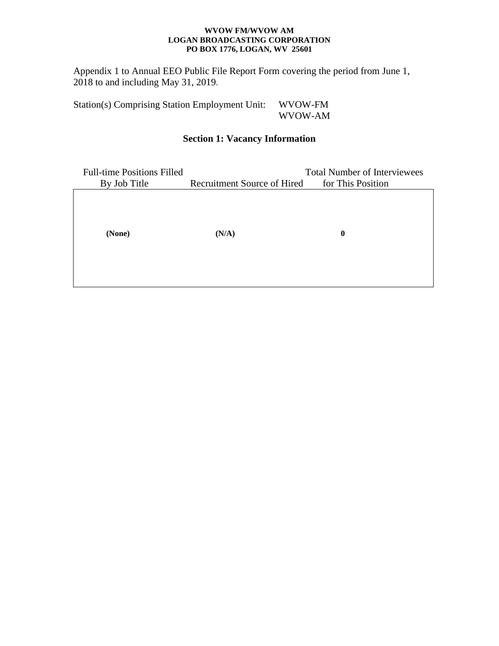#### **WVOW FM/WVOW AM LOGAN BROADCASTING CORPORATION PO BOX 1776, LOGAN, WV 25601**

Appendix 1 to Annual EEO Public File Report Form covering the period from June 1, 2018 to and including May 31, 2019.

Station(s) Comprising Station Employment Unit: WVOW-FM WVOW-AM

# **Section 1: Vacancy Information**

| <b>Full-time Positions Filled</b> | <b>Total Number of Interviewees</b> |                   |
|-----------------------------------|-------------------------------------|-------------------|
| By Job Title                      | Recruitment Source of Hired         | for This Position |
|                                   |                                     |                   |
|                                   |                                     |                   |
|                                   |                                     |                   |
| (None)                            | (N/A)                               | $\bf{0}$          |
|                                   |                                     |                   |
|                                   |                                     |                   |
|                                   |                                     |                   |
|                                   |                                     |                   |
|                                   |                                     |                   |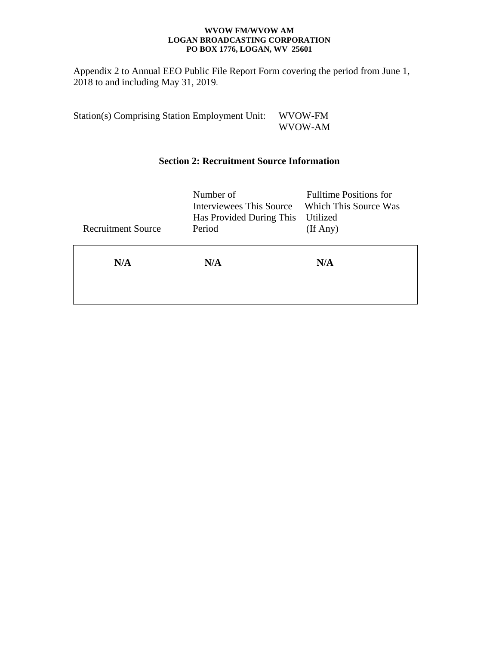#### **WVOW FM/WVOW AM LOGAN BROADCASTING CORPORATION PO BOX 1776, LOGAN, WV 25601**

Appendix 2 to Annual EEO Public File Report Form covering the period from June 1, 2018 to and including May 31, 2019.

Station(s) Comprising Station Employment Unit: WVOW-FM WVOW-AM

# **Section 2: Recruitment Source Information**

|                           | Number of<br><b>Interviewees This Source</b><br>Has Provided During This | <b>Fulltime Positions for</b><br>Which This Source Was<br>Utilized |
|---------------------------|--------------------------------------------------------------------------|--------------------------------------------------------------------|
| <b>Recruitment Source</b> | Period                                                                   | (If Any)                                                           |
| N/A                       | N/A                                                                      | N/A                                                                |
|                           |                                                                          |                                                                    |